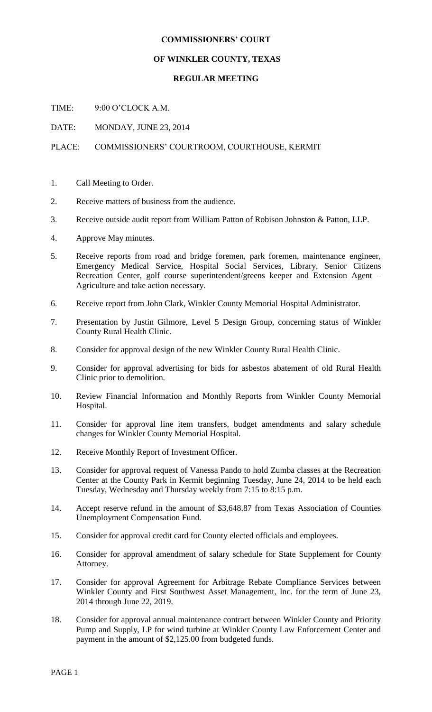## **COMMISSIONERS' COURT**

## **OF WINKLER COUNTY, TEXAS**

## **REGULAR MEETING**

 $TIME: 9:00 O'CLOCK AM$ 

DATE: MONDAY, JUNE 23, 2014

PLACE: COMMISSIONERS' COURTROOM, COURTHOUSE, KERMIT

- 1. Call Meeting to Order.
- 2. Receive matters of business from the audience.
- 3. Receive outside audit report from William Patton of Robison Johnston & Patton, LLP.
- 4. Approve May minutes.
- 5. Receive reports from road and bridge foremen, park foremen, maintenance engineer, Emergency Medical Service, Hospital Social Services, Library, Senior Citizens Recreation Center, golf course superintendent/greens keeper and Extension Agent – Agriculture and take action necessary.
- 6. Receive report from John Clark, Winkler County Memorial Hospital Administrator.
- 7. Presentation by Justin Gilmore, Level 5 Design Group, concerning status of Winkler County Rural Health Clinic.
- 8. Consider for approval design of the new Winkler County Rural Health Clinic.
- 9. Consider for approval advertising for bids for asbestos abatement of old Rural Health Clinic prior to demolition.
- 10. Review Financial Information and Monthly Reports from Winkler County Memorial Hospital.
- 11. Consider for approval line item transfers, budget amendments and salary schedule changes for Winkler County Memorial Hospital.
- 12. Receive Monthly Report of Investment Officer.
- 13. Consider for approval request of Vanessa Pando to hold Zumba classes at the Recreation Center at the County Park in Kermit beginning Tuesday, June 24, 2014 to be held each Tuesday, Wednesday and Thursday weekly from 7:15 to 8:15 p.m.
- 14. Accept reserve refund in the amount of \$3,648.87 from Texas Association of Counties Unemployment Compensation Fund.
- 15. Consider for approval credit card for County elected officials and employees.
- 16. Consider for approval amendment of salary schedule for State Supplement for County Attorney.
- 17. Consider for approval Agreement for Arbitrage Rebate Compliance Services between Winkler County and First Southwest Asset Management, Inc. for the term of June 23, 2014 through June 22, 2019.
- 18. Consider for approval annual maintenance contract between Winkler County and Priority Pump and Supply, LP for wind turbine at Winkler County Law Enforcement Center and payment in the amount of \$2,125.00 from budgeted funds.